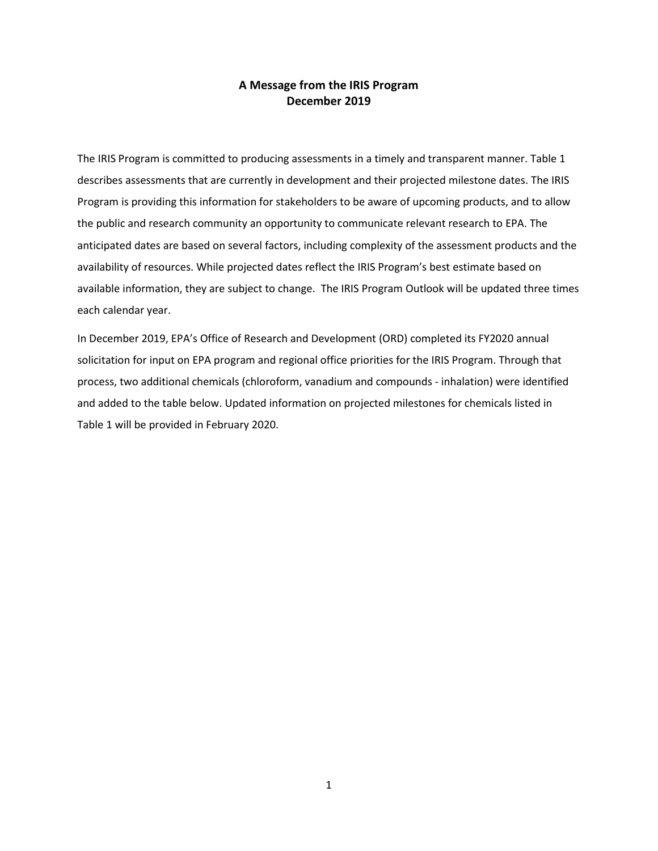## **A Message from the IRIS Program December 2019**

The IRIS Program is committed to producing assessments in a timely and transparent manner. Table 1 describes assessments that are currently in development and their projected milestone dates. The IRIS Program is providing this information for stakeholders to be aware of upcoming products, and to allow the public and research community an opportunity to communicate relevant research to EPA. The anticipated dates are based on several factors, including complexity of the assessment products and the availability of resources. While projected dates reflect the IRIS Program's best estimate based on available information, they are subject to change. The IRIS Program Outlook will be updated three times each calendar year.

In December 2019, EPA's Office of Research and Development (ORD) completed its FY2020 annual solicitation for input on EPA program and regional office priorities for the IRIS Program. Through that process, two additional chemicals (chloroform, vanadium and compounds - inhalation) were identified and added to the table below. Updated information on projected milestones for chemicals listed in Table 1 will be provided in February 2020.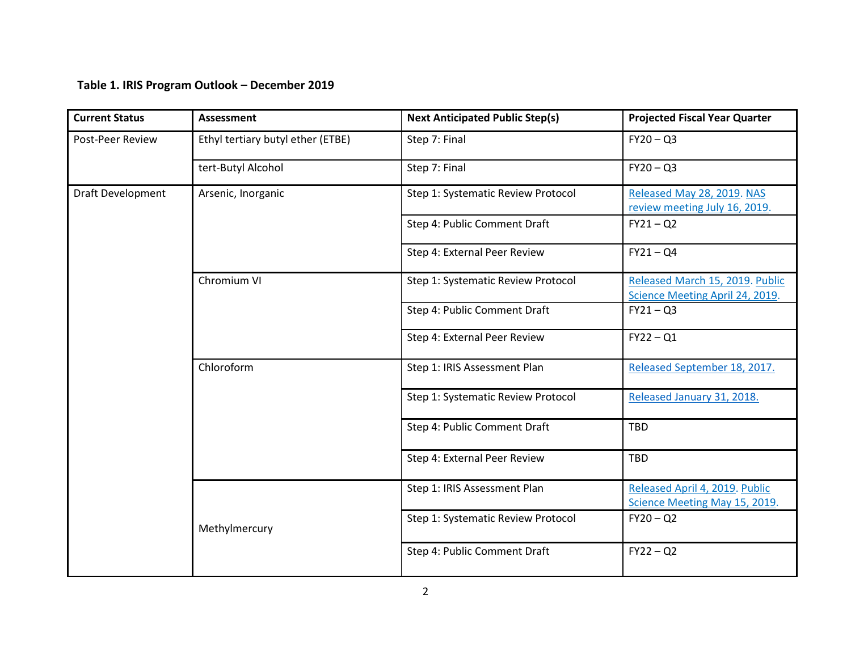## **Table 1. IRIS Program Outlook – December 2019**

| <b>Assessment</b>                 | <b>Next Anticipated Public Step(s)</b> | <b>Projected Fiscal Year Quarter</b>                               |
|-----------------------------------|----------------------------------------|--------------------------------------------------------------------|
| Ethyl tertiary butyl ether (ETBE) | Step 7: Final                          | $FY20 - Q3$                                                        |
| tert-Butyl Alcohol                | Step 7: Final                          | $FY20 - Q3$                                                        |
| Arsenic, Inorganic                | Step 1: Systematic Review Protocol     | Released May 28, 2019. NAS<br>review meeting July 16, 2019.        |
|                                   | Step 4: Public Comment Draft           | $FY21 - Q2$                                                        |
|                                   | Step 4: External Peer Review           | $FY21 - Q4$                                                        |
| Chromium VI                       | Step 1: Systematic Review Protocol     | Released March 15, 2019. Public<br>Science Meeting April 24, 2019. |
|                                   | Step 4: Public Comment Draft           | $FY21 - Q3$                                                        |
|                                   | Step 4: External Peer Review           | $FY22 - Q1$                                                        |
| Chloroform                        | Step 1: IRIS Assessment Plan           | Released September 18, 2017.                                       |
|                                   | Step 1: Systematic Review Protocol     | Released January 31, 2018.                                         |
|                                   | Step 4: Public Comment Draft           | <b>TBD</b>                                                         |
|                                   | Step 4: External Peer Review           | <b>TBD</b>                                                         |
|                                   | Step 1: IRIS Assessment Plan           | Released April 4, 2019. Public<br>Science Meeting May 15, 2019.    |
| Methylmercury                     | Step 1: Systematic Review Protocol     | $FY20 - Q2$                                                        |
|                                   | Step 4: Public Comment Draft           | $FY22 - Q2$                                                        |
|                                   |                                        |                                                                    |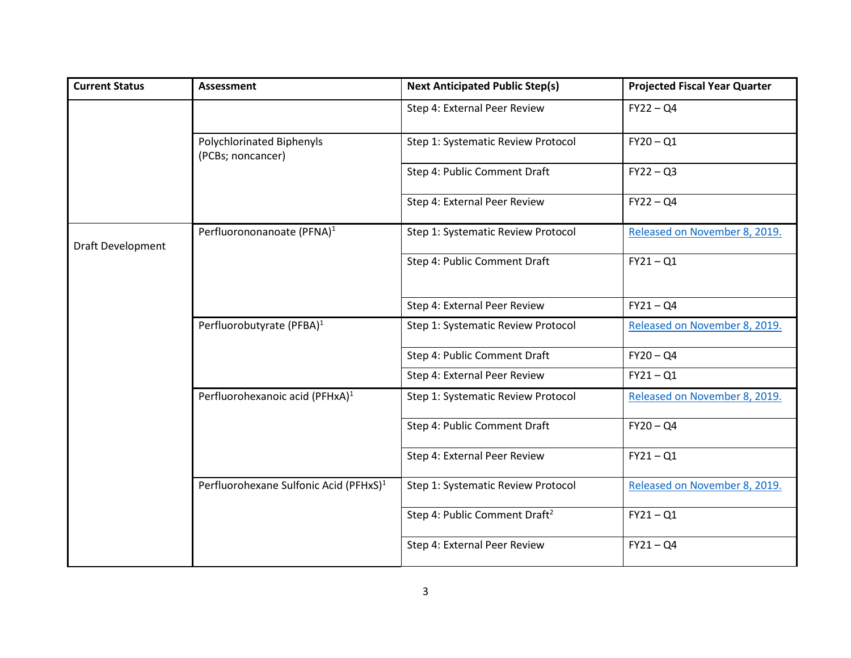| <b>Current Status</b>    | <b>Assessment</b>                                     | <b>Next Anticipated Public Step(s)</b>    | <b>Projected Fiscal Year Quarter</b> |
|--------------------------|-------------------------------------------------------|-------------------------------------------|--------------------------------------|
|                          |                                                       | Step 4: External Peer Review              | $FY22 - Q4$                          |
|                          | <b>Polychlorinated Biphenyls</b><br>(PCBs; noncancer) | Step 1: Systematic Review Protocol        | $FY20 - Q1$                          |
|                          |                                                       | Step 4: Public Comment Draft              | $FY22 - Q3$                          |
|                          |                                                       | Step 4: External Peer Review              | $FY22 - Q4$                          |
| <b>Draft Development</b> | Perfluorononanoate (PFNA) <sup>1</sup>                | Step 1: Systematic Review Protocol        | Released on November 8, 2019.        |
|                          |                                                       | Step 4: Public Comment Draft              | $FY21 - Q1$                          |
|                          |                                                       | Step 4: External Peer Review              | $FY21 - Q4$                          |
|                          | Perfluorobutyrate (PFBA) <sup>1</sup>                 | Step 1: Systematic Review Protocol        | Released on November 8, 2019.        |
|                          |                                                       | Step 4: Public Comment Draft              | $FY20 - QA$                          |
|                          |                                                       | Step 4: External Peer Review              | $FY21 - Q1$                          |
|                          | Perfluorohexanoic acid (PFHxA) <sup>1</sup>           | Step 1: Systematic Review Protocol        | Released on November 8, 2019.        |
|                          |                                                       | Step 4: Public Comment Draft              | $FY20 - QA$                          |
|                          |                                                       | Step 4: External Peer Review              | $FY21 - Q1$                          |
|                          | Perfluorohexane Sulfonic Acid (PFHxS) <sup>1</sup>    | Step 1: Systematic Review Protocol        | Released on November 8, 2019.        |
|                          |                                                       | Step 4: Public Comment Draft <sup>2</sup> | $FY21 - Q1$                          |
|                          |                                                       | Step 4: External Peer Review              | $FY21 - Q4$                          |